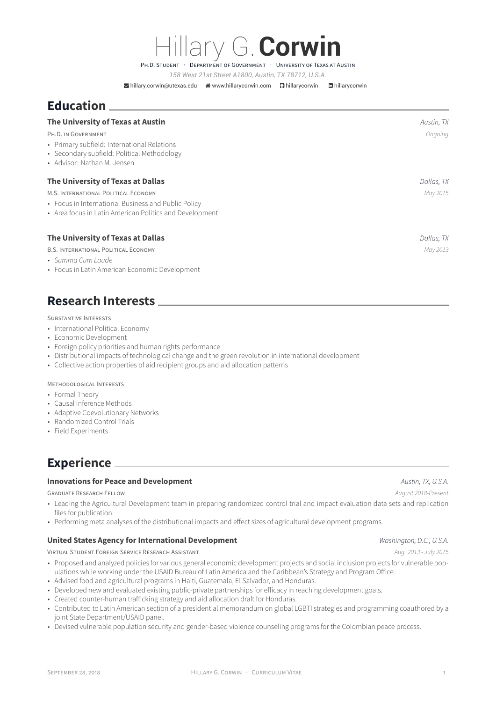PH.D. STUDENT · DEPARTMENT OF GOVERNMENT · UNIVERSITY OF TEXAS AT · DEPARTMENT OF GOVERNMENT · UNIVERSITY OF TEXAS AT AUSTIN

*158 West 21st Street A1800, Austin, TX 78712, U.S.A.*

 $\blacktriangleright$ [hillary.corwin@utexas.edu](mailto:hillary.corwin@utexas.edu) & [www.hillarycorwin.com](http://www.hillarycorwin.com) **Q** [hillarycorwin](https://www.linkedin.com/in/hillarycorwin) **m** hillarycorwin

### **Education**

| The University of Texas at Austin                                                                                         | Austin, TX |
|---------------------------------------------------------------------------------------------------------------------------|------------|
| PH.D. IN GOVERNMENT                                                                                                       | Ongoing    |
| • Primary subfield: International Relations<br>• Secondary subfield: Political Methodology<br>• Advisor: Nathan M. Jensen |            |
| The University of Texas at Dallas                                                                                         | Dallas, TX |
| M.S. INTERNATIONAL POLITICAL ECONOMY                                                                                      | May 2015   |
| • Focus in International Business and Public Policy<br>• Area focus in Latin American Politics and Development            |            |
| The University of Texas at Dallas                                                                                         | Dallas, TX |
| <b>B.S. INTERNATIONAL POLITICAL ECONOMY</b>                                                                               | May 2013   |
| • Summa Cum Laude                                                                                                         |            |

• Focus in Latin American Economic Development

## **Research Interests**

#### SUBSTANTIVE INTERESTS

- International Political Economy
- Economic Development
- Foreign policy priorities and human rights performance
- Distributional impacts of technological change and the green revolution in international development
- Collective action properties of aid recipient groups and aid allocation patterns

#### METHODOLOGICAL INTERESTS

- Formal Theory
- Causal Inference Methods
- Adaptive Coevolutionary Networks
- Randomized Control Trials
- Field Experiments

### **Experience**

#### **Innovations for Peace and Development** *Austin, TX, U.S.A.*

GRADUATE RESEARCH FELLOW *August 2018-Present*

- Leading the Agricultural Development team in preparing randomized control trial and impact evaluation data sets and replication files for publication.
- Performing meta analyses of the distributional impacts and effect sizes of agricultural development programs.

#### **United States Agency for International Development** *Washington, D.C., U.S.A.*

VIRTUAL STUDENT FOREIGN SERVICE RESEARCH ASSISTANT *Aug. 2013 - July 2015*

- Proposed and analyzed policies for various general economic development projects and social inclusion projects for vulnerable populations while working under the USAID Bureau of Latin America and the Caribbean's Strategy and Program Office.
- Advised food and agricultural programs in Haiti, Guatemala, El Salvador, and Honduras.
- Developed new and evaluated existing public-private partnerships for efficacy in reaching development goals.
- Created counter-human trafficking strategy and aid allocation draft for Honduras.
- Contributed to Latin American section of a presidential memorandum on global LGBTI strategies and programming coauthored by a joint State Department/USAID panel.
- Devised vulnerable population security and gender-based violence counseling programs for the Colombian peace process.